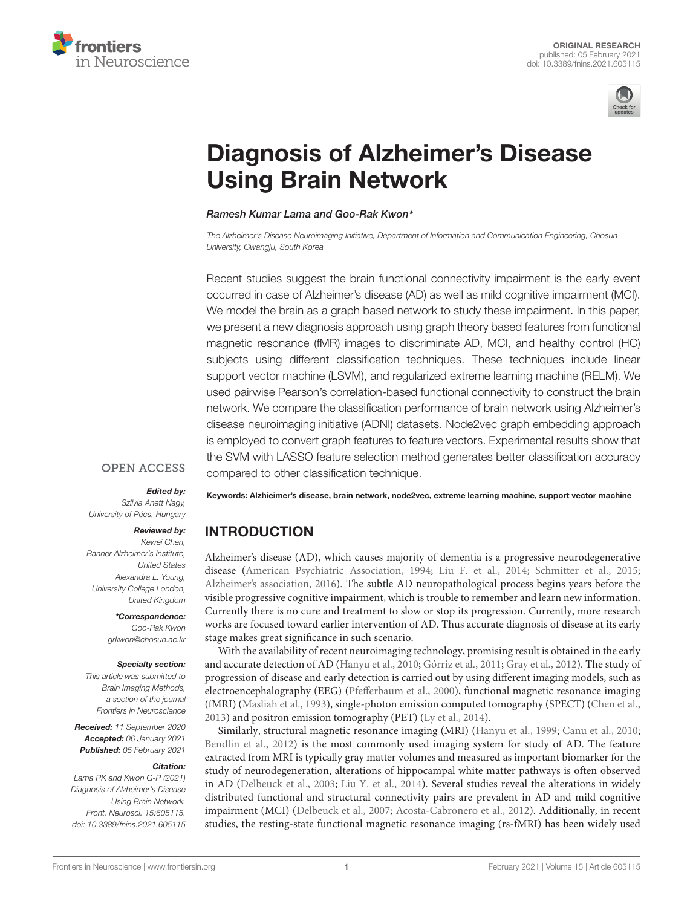



# [Diagnosis of Alzheimer's Disease](https://www.frontiersin.org/articles/10.3389/fnins.2021.605115/full) Using Brain Network

Ramesh Kumar Lama and Goo-Rak Kwon\*

The Alzheimer's Disease Neuroimaging Initiative, Department of Information and Communication Engineering, Chosun University, Gwangju, South Korea

Recent studies suggest the brain functional connectivity impairment is the early event occurred in case of Alzheimer's disease (AD) as well as mild cognitive impairment (MCI). We model the brain as a graph based network to study these impairment. In this paper, we present a new diagnosis approach using graph theory based features from functional magnetic resonance (fMR) images to discriminate AD, MCI, and healthy control (HC) subjects using different classification techniques. These techniques include linear support vector machine (LSVM), and regularized extreme learning machine (RELM). We used pairwise Pearson's correlation-based functional connectivity to construct the brain network. We compare the classification performance of brain network using Alzheimer's disease neuroimaging initiative (ADNI) datasets. Node2vec graph embedding approach is employed to convert graph features to feature vectors. Experimental results show that the SVM with LASSO feature selection method generates better classification accuracy compared to other classification technique.

#### **OPEN ACCESS**

#### Edited by:

Szilvia Anett Nagy, University of Pécs, Hungary

#### Reviewed by:

Kewei Chen, Banner Alzheimer's Institute, United States Alexandra L. Young, University College London, United Kingdom

#### \*Correspondence:

Goo-Rak Kwon grkwon@chosun.ac.kr

#### Specialty section:

This article was submitted to Brain Imaging Methods, a section of the journal Frontiers in Neuroscience

Received: 11 September 2020 Accepted: 06 January 2021 Published: 05 February 2021

#### Citation:

Lama RK and Kwon G-R (2021) Diagnosis of Alzheimer's Disease Using Brain Network. Front. Neurosci. 15:605115. doi: [10.3389/fnins.2021.605115](https://doi.org/10.3389/fnins.2021.605115)

Keywords: Alzhieimer's disease, brain network, node2vec, extreme learning machine, support vector machine

# INTRODUCTION

Alzheimer's disease (AD), which causes majority of dementia is a progressive neurodegenerative disease [\(American Psychiatric Association,](#page-11-0) [1994;](#page-11-0) [Liu F. et al.,](#page-11-1) [2014;](#page-11-1) [Schmitter et al.,](#page-11-2) [2015;](#page-11-2) [Alzheimer's association,](#page-11-3) [2016\)](#page-11-3). The subtle AD neuropathological process begins years before the visible progressive cognitive impairment, which is trouble to remember and learn new information. Currently there is no cure and treatment to slow or stop its progression. Currently, more research works are focused toward earlier intervention of AD. Thus accurate diagnosis of disease at its early stage makes great significance in such scenario.

With the availability of recent neuroimaging technology, promising result is obtained in the early and accurate detection of AD [\(Hanyu et al.,](#page-11-4) [2010;](#page-11-4) [Górriz et al.,](#page-11-5) [2011;](#page-11-5) [Gray et al.,](#page-11-6) [2012\)](#page-11-6). The study of progression of disease and early detection is carried out by using different imaging models, such as electroencephalography (EEG) [\(Pfefferbaum et al.,](#page-11-7) [2000\)](#page-11-7), functional magnetic resonance imaging (fMRI) [\(Masliah et al.,](#page-11-8) [1993\)](#page-11-8), single-photon emission computed tomography (SPECT) [\(Chen et al.,](#page-11-9) [2013\)](#page-11-9) and positron emission tomography (PET) [\(Ly et al.,](#page-11-10) [2014\)](#page-11-10).

Similarly, structural magnetic resonance imaging (MRI) [\(Hanyu et al.,](#page-11-11) [1999;](#page-11-11) [Canu et al.,](#page-11-12) [2010;](#page-11-12) [Bendlin et al.,](#page-11-13) [2012\)](#page-11-13) is the most commonly used imaging system for study of AD. The feature extracted from MRI is typically gray matter volumes and measured as important biomarker for the study of neurodegeneration, alterations of hippocampal white matter pathways is often observed in AD [\(Delbeuck et al.,](#page-11-14) [2003;](#page-11-14) [Liu Y. et al.,](#page-11-15) [2014\)](#page-11-15). Several studies reveal the alterations in widely distributed functional and structural connectivity pairs are prevalent in AD and mild cognitive impairment (MCI) [\(Delbeuck et al.,](#page-11-16) [2007;](#page-11-16) [Acosta-Cabronero et al.,](#page-11-17) [2012\)](#page-11-17). Additionally, in recent studies, the resting-state functional magnetic resonance imaging (rs-fMRI) has been widely used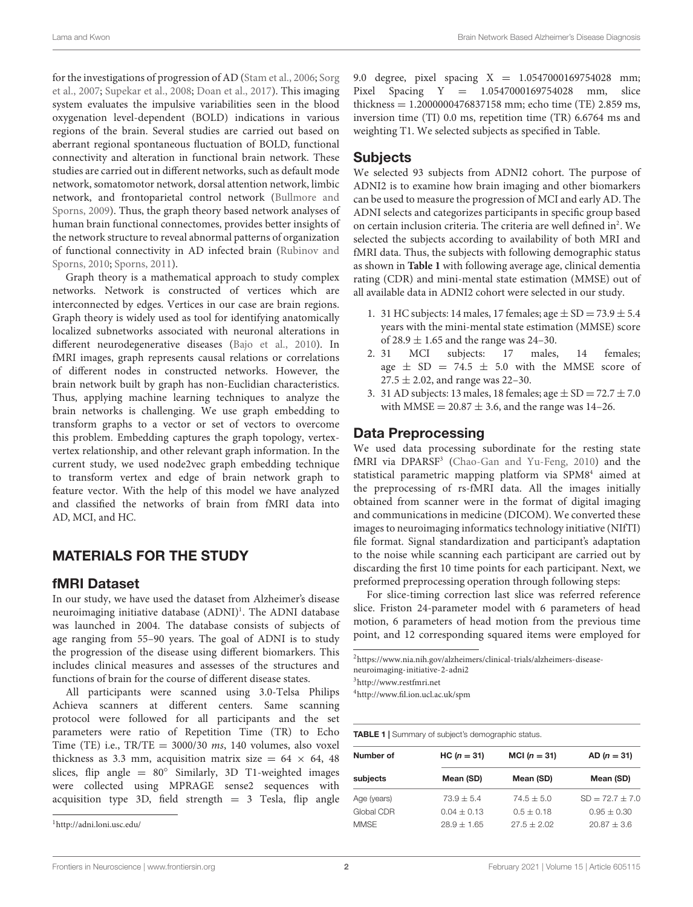for the investigations of progression of AD [\(Stam et al.,](#page-12-0) [2006;](#page-12-0) [Sorg](#page-11-18) [et al.,](#page-11-18) [2007;](#page-11-18) [Supekar et al.,](#page-11-19) [2008;](#page-11-19) [Doan et al.,](#page-11-20) [2017\)](#page-11-20). This imaging system evaluates the impulsive variabilities seen in the blood oxygenation level-dependent (BOLD) indications in various regions of the brain. Several studies are carried out based on aberrant regional spontaneous fluctuation of BOLD, functional connectivity and alteration in functional brain network. These studies are carried out in different networks, such as default mode network, somatomotor network, dorsal attention network, limbic network, and frontoparietal control network [\(Bullmore and](#page-11-21) [Sporns,](#page-11-21) [2009\)](#page-11-21). Thus, the graph theory based network analyses of human brain functional connectomes, provides better insights of the network structure to reveal abnormal patterns of organization of functional connectivity in AD infected brain [\(Rubinov and](#page-11-22) [Sporns,](#page-11-22) [2010;](#page-11-22) [Sporns,](#page-12-1) [2011\)](#page-12-1).

Graph theory is a mathematical approach to study complex networks. Network is constructed of vertices which are interconnected by edges. Vertices in our case are brain regions. Graph theory is widely used as tool for identifying anatomically localized subnetworks associated with neuronal alterations in different neurodegenerative diseases [\(Bajo et al.,](#page-11-23) [2010\)](#page-11-23). In fMRI images, graph represents causal relations or correlations of different nodes in constructed networks. However, the brain network built by graph has non-Euclidian characteristics. Thus, applying machine learning techniques to analyze the brain networks is challenging. We use graph embedding to transform graphs to a vector or set of vectors to overcome this problem. Embedding captures the graph topology, vertexvertex relationship, and other relevant graph information. In the current study, we used node2vec graph embedding technique to transform vertex and edge of brain network graph to feature vector. With the help of this model we have analyzed and classified the networks of brain from fMRI data into AD, MCI, and HC.

## MATERIALS FOR THE STUDY

#### fMRI Dataset

In our study, we have used the dataset from Alzheimer's disease neuroimaging initiative database (ADNI)<sup>[1](#page-1-0)</sup>. The ADNI database was launched in 2004. The database consists of subjects of age ranging from 55–90 years. The goal of ADNI is to study the progression of the disease using different biomarkers. This includes clinical measures and assesses of the structures and functions of brain for the course of different disease states.

All participants were scanned using 3.0-Telsa Philips Achieva scanners at different centers. Same scanning protocol were followed for all participants and the set parameters were ratio of Repetition Time (TR) to Echo Time (TE) i.e.,  $TR/TE = 3000/30$  ms, 140 volumes, also voxel thickness as 3.3 mm, acquisition matrix size =  $64 \times 64$ , 48 slices, flip angle =  $80^\circ$  Similarly, 3D T1-weighted images were collected using MPRAGE sense2 sequences with acquisition type 3D, field strength  $= 3$  Tesla, flip angle 9.0 degree, pixel spacing  $X = 1.0547000169754028$  mm; Pixel Spacing Y = 1.0547000169754028 mm, slice thickness = 1.2000000476837158 mm; echo time (TE) 2.859 ms, inversion time (TI) 0.0 ms, repetition time (TR) 6.6764 ms and weighting T1. We selected subjects as specified in Table.

## **Subjects**

We selected 93 subjects from ADNI2 cohort. The purpose of ADNI2 is to examine how brain imaging and other biomarkers can be used to measure the progression of MCI and early AD. The ADNI selects and categorizes participants in specific group based on certain inclusion criteria. The criteria are well defined in<sup>[2](#page-1-1)</sup>. We selected the subjects according to availability of both MRI and fMRI data. Thus, the subjects with following demographic status as shown in **Table 1** with following average age, clinical dementia rating (CDR) and mini-mental state estimation (MMSE) out of all available data in ADNI2 cohort were selected in our study.

- 1. 31 HC subjects: 14 males, 17 females; age  $\pm$  SD = 73.9  $\pm$  5.4 years with the mini-mental state estimation (MMSE) score of  $28.9 \pm 1.65$  and the range was 24-30.
- 2. 31 MCI subjects: 17 males, 14 females; age  $\pm$  SD = 74.5  $\pm$  5.0 with the MMSE score of  $27.5 \pm 2.02$ , and range was 22-30.
- 3. 31 AD subjects: 13 males, 18 females; age  $\pm$  SD = 72.7  $\pm$  7.0 with MMSE =  $20.87 \pm 3.6$ , and the range was 14-26.

## Data Preprocessing

We used data processing subordinate for the resting state fMRI via DPARSF<sup>[3](#page-1-2)</sup> [\(Chao-Gan and Yu-Feng,](#page-11-24) [2010\)](#page-11-24) and the statistical parametric mapping platform via SPM8<sup>[4](#page-1-3)</sup> aimed at the preprocessing of rs-fMRI data. All the images initially obtained from scanner were in the format of digital imaging and communications in medicine (DICOM). We converted these images to neuroimaging informatics technology initiative (NIfTI) file format. Signal standardization and participant's adaptation to the noise while scanning each participant are carried out by discarding the first 10 time points for each participant. Next, we preformed preprocessing operation through following steps:

For slice-timing correction last slice was referred reference slice. Friston 24-parameter model with 6 parameters of head motion, 6 parameters of head motion from the previous time point, and 12 corresponding squared items were employed for

<span id="page-1-2"></span><sup>3</sup><http://www.restfmri.net>

<span id="page-1-3"></span><sup>4</sup><http://www.fil.ion.ucl.ac.uk/spm>

| <b>TABLE 1</b> Summary of subject's demographic status. |               |                |                   |  |  |  |
|---------------------------------------------------------|---------------|----------------|-------------------|--|--|--|
| Number of                                               | $HC (n = 31)$ | MCI $(n = 31)$ | $AD (n = 31)$     |  |  |  |
| subjects                                                | Mean (SD)     | Mean (SD)      | Mean (SD)         |  |  |  |
| Age (years)                                             | $73.9 + 5.4$  | $74.5 + 5.0$   | $SD = 72.7 + 7.0$ |  |  |  |
| Global CDR                                              | $0.04 + 0.13$ | $0.5 + 0.18$   | $0.95 + 0.30$     |  |  |  |
| <b>MMSE</b>                                             | $28.9 + 1.65$ | $27.5 + 2.02$  | $20.87 + 3.6$     |  |  |  |

<span id="page-1-0"></span><sup>1</sup><http://adni.loni.usc.edu/>

<span id="page-1-1"></span><sup>2</sup>[https://www.nia.nih.gov/alzheimers/clinical-trials/alzheimers-disease](https://www.nia.nih.gov/alzheimers/clinical-trials/alzheimers-disease-neuroimaging-initiative-2-adni2)[neuroimaging-initiative-2-adni2](https://www.nia.nih.gov/alzheimers/clinical-trials/alzheimers-disease-neuroimaging-initiative-2-adni2)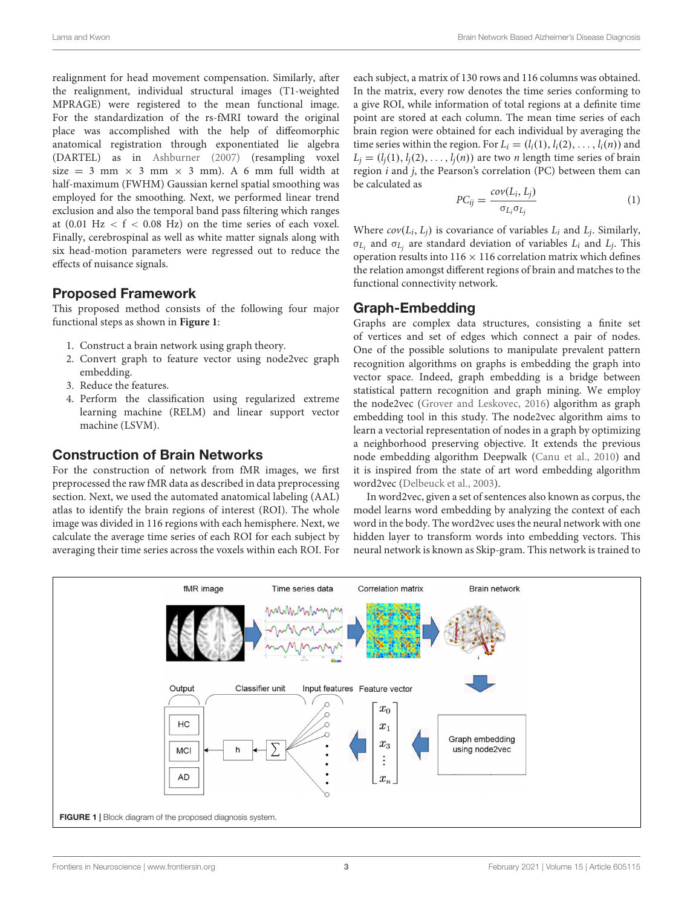realignment for head movement compensation. Similarly, after the realignment, individual structural images (T1-weighted MPRAGE) were registered to the mean functional image. For the standardization of the rs-fMRI toward the original place was accomplished with the help of diffeomorphic anatomical registration through exponentiated lie algebra (DARTEL) as in [Ashburner](#page-11-25) [\(2007\)](#page-11-25) (resampling voxel size = 3 mm  $\times$  3 mm  $\times$  3 mm). A 6 mm full width at half-maximum (FWHM) Gaussian kernel spatial smoothing was employed for the smoothing. Next, we performed linear trend exclusion and also the temporal band pass filtering which ranges at  $(0.01 \text{ Hz} < f < 0.08 \text{ Hz})$  on the time series of each voxel. Finally, cerebrospinal as well as white matter signals along with six head-motion parameters were regressed out to reduce the effects of nuisance signals.

## Proposed Framework

This proposed method consists of the following four major functional steps as shown in **[Figure 1](#page-2-0)**:

- 1. Construct a brain network using graph theory.
- 2. Convert graph to feature vector using node2vec graph embedding.
- 3. Reduce the features.
- 4. Perform the classification using regularized extreme learning machine (RELM) and linear support vector machine (LSVM).

#### Construction of Brain Networks

For the construction of network from fMR images, we first preprocessed the raw fMR data as described in data preprocessing section. Next, we used the automated anatomical labeling (AAL) atlas to identify the brain regions of interest (ROI). The whole image was divided in 116 regions with each hemisphere. Next, we calculate the average time series of each ROI for each subject by averaging their time series across the voxels within each ROI. For

each subject, a matrix of 130 rows and 116 columns was obtained. In the matrix, every row denotes the time series conforming to a give ROI, while information of total regions at a definite time point are stored at each column. The mean time series of each brain region were obtained for each individual by averaging the time series within the region. For  $L_i = (l_i(1), l_i(2), \ldots, l_i(n))$  and  $L_j = (l_j(1), l_j(2), \ldots, l_j(n))$  are two *n* length time series of brain region i and j, the Pearson's correlation (PC) between them can be calculated as

$$
PC_{ij} = \frac{cov(L_i, L_j)}{\sigma_{L_i} \sigma_{L_j}} \tag{1}
$$

Where  $cov(L_i, L_j)$  is covariance of variables  $L_i$  and  $L_j$ . Similarly, σ $_{L_i}$  and σ $_{L_j}$  are standard deviation of variables  $L_i$  and  $L_j$ . This operation results into  $116 \times 116$  correlation matrix which defines the relation amongst different regions of brain and matches to the functional connectivity network.

#### Graph-Embedding

Graphs are complex data structures, consisting a finite set of vertices and set of edges which connect a pair of nodes. One of the possible solutions to manipulate prevalent pattern recognition algorithms on graphs is embedding the graph into vector space. Indeed, graph embedding is a bridge between statistical pattern recognition and graph mining. We employ the node2vec [\(Grover and Leskovec,](#page-11-26) [2016\)](#page-11-26) algorithm as graph embedding tool in this study. The node2vec algorithm aims to learn a vectorial representation of nodes in a graph by optimizing a neighborhood preserving objective. It extends the previous node embedding algorithm Deepwalk [\(Canu et al.,](#page-11-12) [2010\)](#page-11-12) and it is inspired from the state of art word embedding algorithm word2vec [\(Delbeuck et al.,](#page-11-14) [2003\)](#page-11-14).

In word2vec, given a set of sentences also known as corpus, the model learns word embedding by analyzing the context of each word in the body. The word2vec uses the neural network with one hidden layer to transform words into embedding vectors. This neural network is known as Skip-gram. This network is trained to

<span id="page-2-0"></span>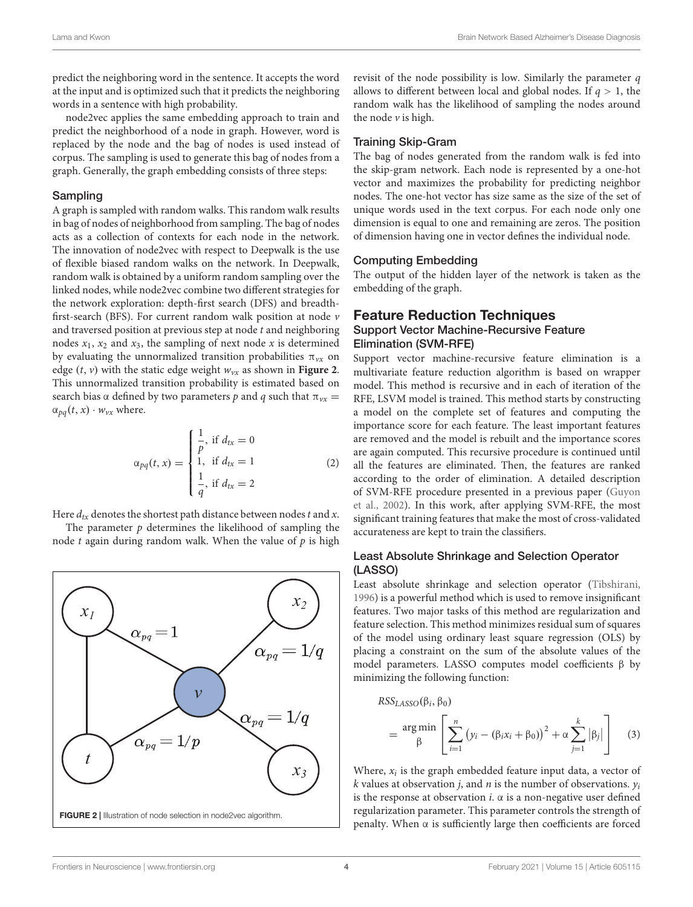predict the neighboring word in the sentence. It accepts the word at the input and is optimized such that it predicts the neighboring words in a sentence with high probability.

node2vec applies the same embedding approach to train and predict the neighborhood of a node in graph. However, word is replaced by the node and the bag of nodes is used instead of corpus. The sampling is used to generate this bag of nodes from a graph. Generally, the graph embedding consists of three steps:

#### Sampling

A graph is sampled with random walks. This random walk results in bag of nodes of neighborhood from sampling. The bag of nodes acts as a collection of contexts for each node in the network. The innovation of node2vec with respect to Deepwalk is the use of flexible biased random walks on the network. In Deepwalk, random walk is obtained by a uniform random sampling over the linked nodes, while node2vec combine two different strategies for the network exploration: depth-first search (DFS) and breadthfirst-search (BFS). For current random walk position at node  $\nu$ and traversed position at previous step at node  $t$  and neighboring nodes  $x_1$ ,  $x_2$  and  $x_3$ , the sampling of next node x is determined by evaluating the unnormalized transition probabilities  $\pi_{vx}$  on edge  $(t, v)$  with the static edge weight  $w_{vx}$  as shown in **[Figure 2](#page-3-0)**. This unnormalized transition probability is estimated based on search bias α defined by two parameters p and q such that  $\pi_{vx}$  =  $\alpha_{pq}(t, x) \cdot w_{vx}$  where.

$$
\alpha_{pq}(t,x) = \begin{cases} \frac{1}{p}, & \text{if } d_{tx} = 0 \\ 1, & \text{if } d_{tx} = 1 \\ \frac{1}{q}, & \text{if } d_{tx} = 2 \end{cases}
$$
 (2)

Here  $d_{tx}$  denotes the shortest path distance between nodes t and x.

The parameter  $p$  determines the likelihood of sampling the node  $t$  again during random walk. When the value of  $p$  is high

<span id="page-3-0"></span>

revisit of the node possibility is low. Similarly the parameter q allows to different between local and global nodes. If  $q > 1$ , the random walk has the likelihood of sampling the nodes around the node  $\nu$  is high.

#### Training Skip-Gram

The bag of nodes generated from the random walk is fed into the skip-gram network. Each node is represented by a one-hot vector and maximizes the probability for predicting neighbor nodes. The one-hot vector has size same as the size of the set of unique words used in the text corpus. For each node only one dimension is equal to one and remaining are zeros. The position of dimension having one in vector defines the individual node.

#### Computing Embedding

The output of the hidden layer of the network is taken as the embedding of the graph.

#### Feature Reduction Techniques Support Vector Machine-Recursive Feature Elimination (SVM-RFE)

Support vector machine-recursive feature elimination is a multivariate feature reduction algorithm is based on wrapper model. This method is recursive and in each of iteration of the RFE, LSVM model is trained. This method starts by constructing a model on the complete set of features and computing the importance score for each feature. The least important features are removed and the model is rebuilt and the importance scores are again computed. This recursive procedure is continued until all the features are eliminated. Then, the features are ranked according to the order of elimination. A detailed description of SVM-RFE procedure presented in a previous paper [\(Guyon](#page-11-27) [et al.,](#page-11-27) [2002\)](#page-11-27). In this work, after applying SVM-RFE, the most significant training features that make the most of cross-validated accurateness are kept to train the classifiers.

#### Least Absolute Shrinkage and Selection Operator (LASSO)

Least absolute shrinkage and selection operator [\(Tibshirani,](#page-12-2) [1996\)](#page-12-2) is a powerful method which is used to remove insignificant features. Two major tasks of this method are regularization and feature selection. This method minimizes residual sum of squares of the model using ordinary least square regression (OLS) by placing a constraint on the sum of the absolute values of the model parameters. LASSO computes model coefficients β by minimizing the following function:

$$
RSS_{LASSO}(\beta_i, \beta_0)
$$
  
=  $\frac{\arg \min}{\beta} \left[ \sum_{i=1}^n (y_i - (\beta_i x_i + \beta_0))^2 + \alpha \sum_{j=1}^k |\beta_j| \right]$  (3)

Where,  $x_i$  is the graph embedded feature input data, a vector of k values at observation *j*, and *n* is the number of observations.  $y_i$ is the response at observation  $i$ .  $\alpha$  is a non-negative user defined regularization parameter. This parameter controls the strength of penalty. When  $\alpha$  is sufficiently large then coefficients are forced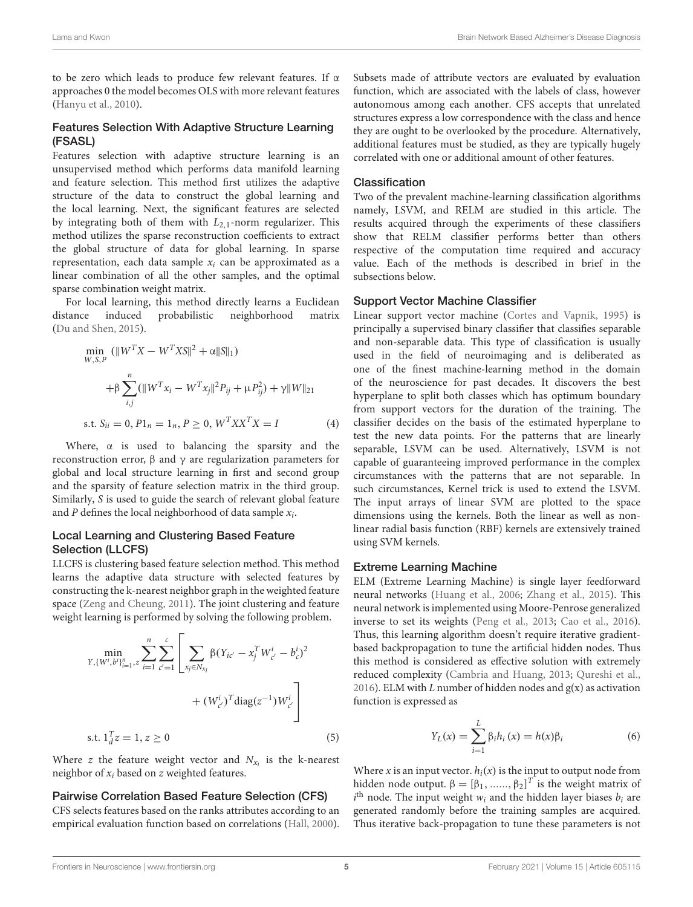to be zero which leads to produce few relevant features. If α approaches 0 the model becomes OLS with more relevant features [\(Hanyu et al.,](#page-11-4) [2010\)](#page-11-4).

#### Features Selection With Adaptive Structure Learning (FSASL)

Features selection with adaptive structure learning is an unsupervised method which performs data manifold learning and feature selection. This method first utilizes the adaptive structure of the data to construct the global learning and the local learning. Next, the significant features are selected by integrating both of them with  $L_{2,1}$ -norm regularizer. This method utilizes the sparse reconstruction coefficients to extract the global structure of data for global learning. In sparse representation, each data sample  $x_i$  can be approximated as a linear combination of all the other samples, and the optimal sparse combination weight matrix.

For local learning, this method directly learns a Euclidean distance induced probabilistic neighborhood matrix [\(Du and Shen,](#page-11-28) [2015\)](#page-11-28).

$$
\min_{W,S,P} (||W^TX - W^TXS||^2 + \alpha||S||_1)
$$
  
+ 
$$
\beta \sum_{i,j}^{n} (||W^Tx_i - W^Tx_j||^2 P_{ij} + \mu P_{ij}^2) + \gamma||W||_{21}
$$
  
s.t.  $S_{ii} = 0, P1_n = 1_n, P \ge 0, W^TXX^TX = I$  (4)

Where,  $\alpha$  is used to balancing the sparsity and the reconstruction error, β and γ are regularization parameters for global and local structure learning in first and second group and the sparsity of feature selection matrix in the third group. Similarly, S is used to guide the search of relevant global feature and P defines the local neighborhood of data sample  $x_i$ .

#### Local Learning and Clustering Based Feature Selection (LLCFS)

LLCFS is clustering based feature selection method. This method learns the adaptive data structure with selected features by constructing the k-nearest neighbor graph in the weighted feature space [\(Zeng and Cheung,](#page-12-3) [2011\)](#page-12-3). The joint clustering and feature weight learning is performed by solving the following problem.

$$
\min_{Y, \{W^i, b^i\}_{i=1}^n, z} \sum_{i=1}^n \sum_{c'=1}^c \left[ \sum_{x_j \in N_{x_i}} \beta(Y_{ic'} - x_j^T W_{c'}^i - b_c^i)^2 + (W_{c'}^i)^T \text{diag}(z^{-1}) W_{c'}^i \right]
$$
\ns.t.  $1_d^T z = 1, z \ge 0$  (5)

Where z the feature weight vector and  $N_{x_i}$  is the k-nearest neighbor of  $x_i$  based on  $z$  weighted features.

#### Pairwise Correlation Based Feature Selection (CFS)

CFS selects features based on the ranks attributes according to an empirical evaluation function based on correlations [\(Hall,](#page-11-29) [2000\)](#page-11-29). Subsets made of attribute vectors are evaluated by evaluation function, which are associated with the labels of class, however autonomous among each another. CFS accepts that unrelated structures express a low correspondence with the class and hence they are ought to be overlooked by the procedure. Alternatively, additional features must be studied, as they are typically hugely correlated with one or additional amount of other features.

#### Classification

Two of the prevalent machine-learning classification algorithms namely, LSVM, and RELM are studied in this article. The results acquired through the experiments of these classifiers show that RELM classifier performs better than others respective of the computation time required and accuracy value. Each of the methods is described in brief in the subsections below.

#### Support Vector Machine Classifier

Linear support vector machine [\(Cortes and Vapnik,](#page-11-30) [1995\)](#page-11-30) is principally a supervised binary classifier that classifies separable and non-separable data. This type of classification is usually used in the field of neuroimaging and is deliberated as one of the finest machine-learning method in the domain of the neuroscience for past decades. It discovers the best hyperplane to split both classes which has optimum boundary from support vectors for the duration of the training. The classifier decides on the basis of the estimated hyperplane to test the new data points. For the patterns that are linearly separable, LSVM can be used. Alternatively, LSVM is not capable of guaranteeing improved performance in the complex circumstances with the patterns that are not separable. In such circumstances, Kernel trick is used to extend the LSVM. The input arrays of linear SVM are plotted to the space dimensions using the kernels. Both the linear as well as nonlinear radial basis function (RBF) kernels are extensively trained using SVM kernels.

#### Extreme Learning Machine

ELM (Extreme Learning Machine) is single layer feedforward neural networks [\(Huang et al.,](#page-11-31) [2006;](#page-11-31) [Zhang et al.,](#page-12-4) [2015\)](#page-12-4). This neural network is implemented using Moore-Penrose generalized inverse to set its weights [\(Peng et al.,](#page-11-32) [2013;](#page-11-32) [Cao et al.,](#page-11-33) [2016\)](#page-11-33). Thus, this learning algorithm doesn't require iterative gradientbased backpropagation to tune the artificial hidden nodes. Thus this method is considered as effective solution with extremely reduced complexity [\(Cambria and Huang,](#page-11-34) [2013;](#page-11-34) [Qureshi et al.,](#page-11-35) [2016\)](#page-11-35). ELM with  $L$  number of hidden nodes and  $g(x)$  as activation function is expressed as

$$
Y_L(x) = \sum_{i=1}^{L} \beta_i h_i(x) = h(x)\beta_i
$$
 (6)

Where x is an input vector.  $h_i(x)$  is the input to output node from hidden node output.  $\beta = [\beta_1, \dots, \beta_2]^T$  is the weight matrix of  $i<sup>th</sup>$  node. The input weight  $w_i$  and the hidden layer biases  $b_i$  are generated randomly before the training samples are acquired. Thus iterative back-propagation to tune these parameters is not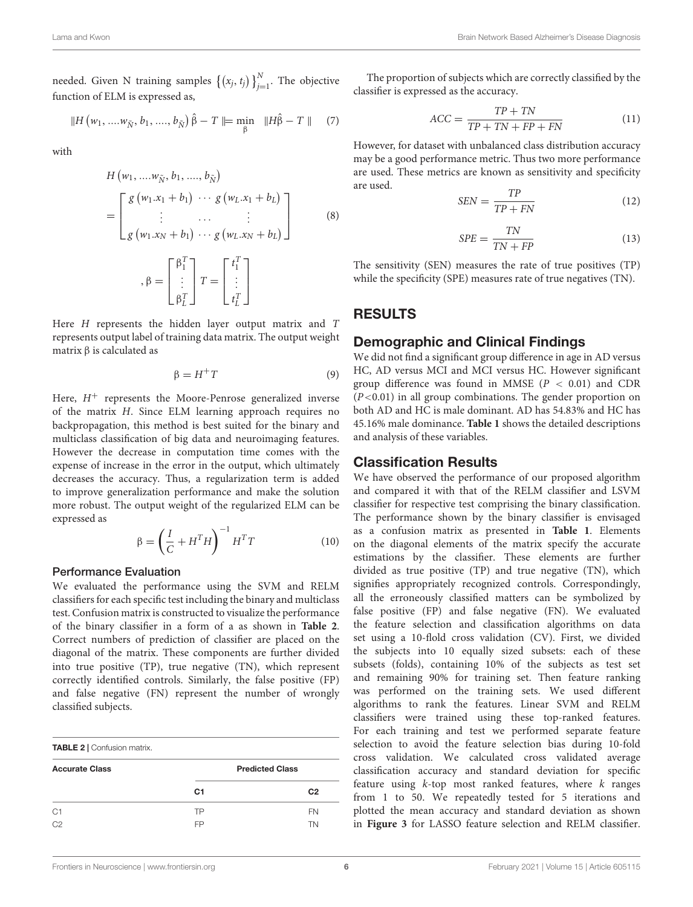needed. Given N training samples  $\left\{ \left( x_{j},t_{j}\right) \right\} _{j=1}^{N}.$  The objective function of ELM is expressed as,

$$
||H(w_1, ..., w_{\tilde{N}}, b_1, ..., b_{\tilde{N}})\hat{\beta} - T|| = \min_{\beta} ||H\hat{\beta} - T|| \quad (7)
$$

with

$$
H(w_1, \ldots, w_{\tilde{N}}, b_1, \ldots, b_{\tilde{N}})
$$
\n
$$
= \begin{bmatrix} g(w_1.x_1 + b_1) & \cdots & g(w_L.x_1 + b_L) \\ \vdots & \cdots & & \vdots \\ g(w_1.x_N + b_1) & \cdots & g(w_L.x_N + b_L) \end{bmatrix}
$$
\n
$$
, \beta = \begin{bmatrix} \beta_1^T \\ \vdots \\ \beta_L^T \end{bmatrix} T = \begin{bmatrix} t_1^T \\ \vdots \\ t_L^T \end{bmatrix}
$$
\n(8)

Here H represents the hidden layer output matrix and T represents output label of training data matrix. The output weight matrix  $β$  is calculated as

$$
\beta = H^+T \tag{9}
$$

Here,  $H^+$  represents the Moore-Penrose generalized inverse of the matrix H. Since ELM learning approach requires no backpropagation, this method is best suited for the binary and multiclass classification of big data and neuroimaging features. However the decrease in computation time comes with the expense of increase in the error in the output, which ultimately decreases the accuracy. Thus, a regularization term is added to improve generalization performance and make the solution more robust. The output weight of the regularized ELM can be expressed as

$$
\beta = \left(\frac{I}{C} + H^T H\right)^{-1} H^T T \tag{10}
$$

#### Performance Evaluation

We evaluated the performance using the SVM and RELM classifiers for each specific test including the binary and multiclass test. Confusion matrix is constructed to visualize the performance of the binary classifier in a form of a as shown in **[Table 2](#page-5-0)**. Correct numbers of prediction of classifier are placed on the diagonal of the matrix. These components are further divided into true positive (TP), true negative (TN), which represent correctly identified controls. Similarly, the false positive (FP) and false negative (FN) represent the number of wrongly classified subjects.

<span id="page-5-0"></span>

| TABLE 2   Confusion matrix. |                |                        |  |  |
|-----------------------------|----------------|------------------------|--|--|
| <b>Accurate Class</b>       |                | <b>Predicted Class</b> |  |  |
|                             | C <sub>1</sub> | C <sub>2</sub>         |  |  |
| C1                          | TP             | <b>FN</b>              |  |  |
| C <sub>2</sub>              | <b>FP</b>      | TN                     |  |  |

The proportion of subjects which are correctly classified by the classifier is expressed as the accuracy.

$$
ACC = \frac{TP + TN}{TP + TN + FP + FN}
$$
\n(11)

However, for dataset with unbalanced class distribution accuracy may be a good performance metric. Thus two more performance are used. These metrics are known as sensitivity and specificity are used.

$$
SEN = \frac{TP}{TP + FN}
$$
 (12)

$$
SPE = \frac{TN}{TN + FP}
$$
 (13)

The sensitivity (SEN) measures the rate of true positives (TP) while the specificity (SPE) measures rate of true negatives (TN).

## RESULTS

#### Demographic and Clinical Findings

We did not find a significant group difference in age in AD versus HC, AD versus MCI and MCI versus HC. However significant group difference was found in MMSE ( $P < 0.01$ ) and CDR  $(P<0.01)$  in all group combinations. The gender proportion on both AD and HC is male dominant. AD has 54.83% and HC has 45.16% male dominance. **[Table 1](#page-5-0)** shows the detailed descriptions and analysis of these variables.

#### Classification Results

We have observed the performance of our proposed algorithm and compared it with that of the RELM classifier and LSVM classifier for respective test comprising the binary classification. The performance shown by the binary classifier is envisaged as a confusion matrix as presented in **Table 1**. Elements on the diagonal elements of the matrix specify the accurate estimations by the classifier. These elements are further divided as true positive (TP) and true negative (TN), which signifies appropriately recognized controls. Correspondingly, all the erroneously classified matters can be symbolized by false positive (FP) and false negative (FN). We evaluated the feature selection and classification algorithms on data set using a 10-flold cross validation (CV). First, we divided the subjects into 10 equally sized subsets: each of these subsets (folds), containing 10% of the subjects as test set and remaining 90% for training set. Then feature ranking was performed on the training sets. We used different algorithms to rank the features. Linear SVM and RELM classifiers were trained using these top-ranked features. For each training and test we performed separate feature selection to avoid the feature selection bias during 10-fold cross validation. We calculated cross validated average classification accuracy and standard deviation for specific feature using  $k$ -top most ranked features, where  $k$  ranges from 1 to 50. We repeatedly tested for 5 iterations and plotted the mean accuracy and standard deviation as shown in **[Figure 3](#page-6-0)** for LASSO feature selection and RELM classifier.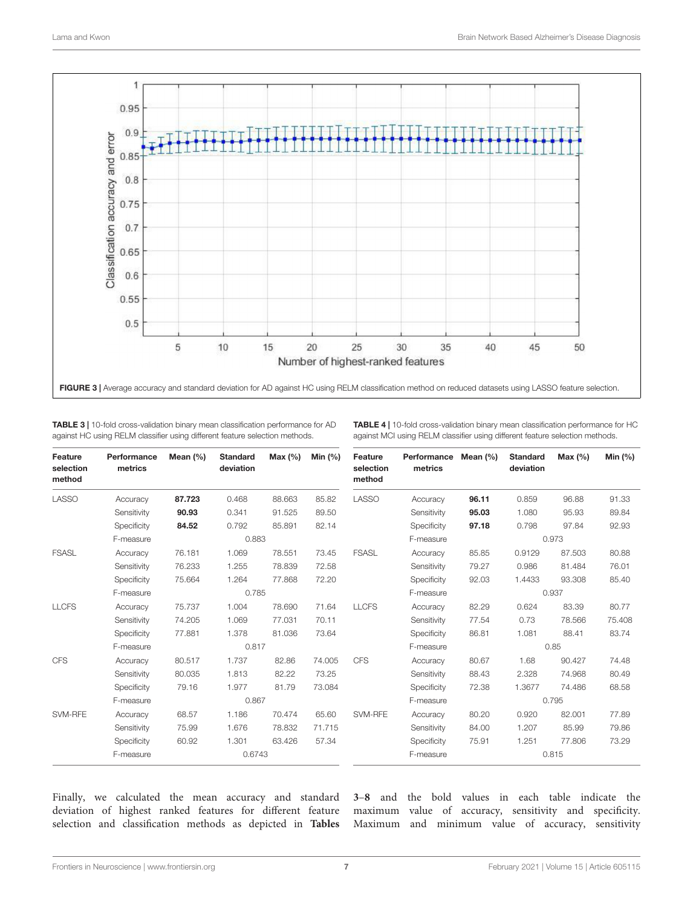

<span id="page-6-1"></span><span id="page-6-0"></span>TABLE 3 | 10-fold cross-validation binary mean classification performance for AD against HC using RELM classifier using different feature selection methods.

<span id="page-6-2"></span>TABLE 4 | 10-fold cross-validation binary mean classification performance for HC against MCI using RELM classifier using different feature selection methods.

| Feature<br>selection<br>method | Performance<br>metrics | Mean $(\% )$ | <b>Standard</b><br>deviation | Max (%) | Min $(%)$ | Feature<br>selection<br>method | Performance Mean (%)<br>metrics |       | <b>Standard</b><br>deviation | Max $(%)$ | Min $(%)$ |
|--------------------------------|------------------------|--------------|------------------------------|---------|-----------|--------------------------------|---------------------------------|-------|------------------------------|-----------|-----------|
| LASSO                          | Accuracy               | 87.723       | 0.468                        | 88.663  | 85.82     | LASSO                          | Accuracy                        | 96.11 | 0.859                        | 96.88     | 91.33     |
|                                | Sensitivity            | 90.93        | 0.341                        | 91.525  | 89.50     |                                | Sensitivity                     | 95.03 | 1.080                        | 95.93     | 89.84     |
|                                | Specificity            | 84.52        | 0.792                        | 85.891  | 82.14     |                                | Specificity                     | 97.18 | 0.798                        | 97.84     | 92.93     |
|                                | F-measure              |              | 0.883                        |         |           |                                | F-measure                       |       |                              | 0.973     |           |
| <b>FSASL</b>                   | Accuracy               | 76.181       | 1.069                        | 78.551  | 73.45     | <b>FSASL</b>                   | Accuracy                        | 85.85 | 0.9129                       | 87.503    | 80.88     |
|                                | Sensitivity            | 76.233       | 1.255                        | 78.839  | 72.58     |                                | Sensitivity                     | 79.27 | 0.986                        | 81.484    | 76.01     |
|                                | Specificity            | 75.664       | 1.264                        | 77.868  | 72.20     |                                | Specificity                     | 92.03 | 1.4433                       | 93.308    | 85.40     |
|                                | F-measure              |              | 0.785                        |         |           |                                | F-measure                       |       |                              | 0.937     |           |
| <b>LLCFS</b>                   | Accuracy               | 75.737       | 1.004                        | 78.690  | 71.64     | <b>LLCFS</b>                   | Accuracy                        | 82.29 | 0.624                        | 83.39     | 80.77     |
|                                | Sensitivity            | 74.205       | 1.069                        | 77.031  | 70.11     |                                | Sensitivity                     | 77.54 | 0.73                         | 78.566    | 75.408    |
|                                | Specificity            | 77.881       | 1.378                        | 81.036  | 73.64     |                                | Specificity                     | 86.81 | 1.081                        | 88.41     | 83.74     |
|                                | F-measure              |              | 0.817                        |         |           |                                | F-measure                       |       |                              | 0.85      |           |
| <b>CFS</b>                     | Accuracy               | 80.517       | 1.737                        | 82.86   | 74.005    | <b>CFS</b>                     | Accuracy                        | 80.67 | 1.68                         | 90.427    | 74.48     |
|                                | Sensitivity            | 80.035       | 1.813                        | 82.22   | 73.25     |                                | Sensitivity                     | 88.43 | 2.328                        | 74.968    | 80.49     |
|                                | Specificity            | 79.16        | 1.977                        | 81.79   | 73.084    |                                | Specificity                     | 72.38 | 1.3677                       | 74.486    | 68.58     |
|                                | F-measure              |              | 0.867                        |         |           |                                | F-measure                       |       |                              | 0.795     |           |
| SVM-RFE                        | Accuracy               | 68.57        | 1.186                        | 70.474  | 65.60     | SVM-RFE                        | Accuracy                        | 80.20 | 0.920                        | 82.001    | 77.89     |
|                                | Sensitivity            | 75.99        | 1.676                        | 78.832  | 71.715    |                                | Sensitivity                     | 84.00 | 1.207                        | 85.99     | 79.86     |
|                                | Specificity            | 60.92        | 1.301                        | 63.426  | 57.34     |                                | Specificity                     | 75.91 | 1.251                        | 77.806    | 73.29     |
|                                | F-measure              |              | 0.6743                       |         |           |                                | F-measure                       |       |                              | 0.815     |           |

Finally, we calculated the mean accuracy and standard **[3](#page-6-1)**–**[8](#page-7-0)** and the bold values in each table indicate the deviation of highest ranked features for different feature maximum value of accuracy, sensitivity and specificity.

selection and classification methods as depicted in **[Tables](#page-6-1)** Maximum and minimum value of accuracy, sensitivity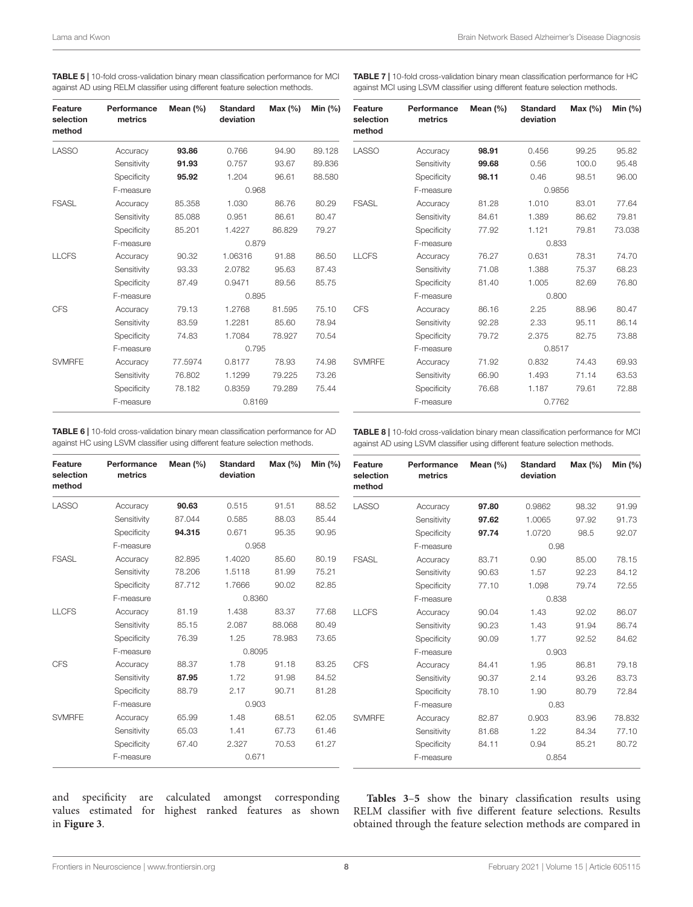<span id="page-7-1"></span>

| <b>TABLE 5</b>   10-fold cross-validation binary mean classification performance for MCI |
|------------------------------------------------------------------------------------------|
| against AD using RELM classifier using different feature selection methods.              |

| <b>Feature</b><br>selection<br>method | Performance<br>metrics | Mean $(\% )$ | <b>Standard</b><br>deviation | Max (%) | Min $(%)$ |  |  |
|---------------------------------------|------------------------|--------------|------------------------------|---------|-----------|--|--|
| <b>LASSO</b>                          | Accuracy               | 93.86        | 0.766                        | 94.90   | 89.128    |  |  |
|                                       | Sensitivity            | 91.93        | 0.757                        | 93.67   | 89.836    |  |  |
|                                       | Specificity            | 95.92        | 1.204                        | 96.61   | 88.580    |  |  |
|                                       | F-measure              |              | 0.968                        |         |           |  |  |
| <b>FSASL</b>                          | Accuracy               | 85.358       | 1.030                        | 86.76   | 80.29     |  |  |
|                                       | Sensitivity            | 85.088       | 0.951                        | 86.61   | 80.47     |  |  |
|                                       | Specificity            | 85.201       | 1.4227                       | 86.829  | 79.27     |  |  |
|                                       | F-measure              | 0.879        |                              |         |           |  |  |
| <b>LLCES</b>                          | Accuracy               | 90.32        | 1.06316                      | 91.88   | 86.50     |  |  |
|                                       | Sensitivity            | 93.33        | 2.0782                       | 95.63   | 87.43     |  |  |
|                                       | Specificity            | 87.49        | 0.9471                       | 89.56   | 85.75     |  |  |
|                                       | F-measure              | 0.895        |                              |         |           |  |  |
| <b>CFS</b>                            | Accuracy               | 79.13        | 1.2768                       | 81.595  | 75.10     |  |  |
|                                       | Sensitivity            | 83.59        | 1.2281                       | 85.60   | 78.94     |  |  |
|                                       | Specificity            | 74.83        | 1.7084                       | 78.927  | 70.54     |  |  |
|                                       | F-measure              | 0.795        |                              |         |           |  |  |
| <b>SVMRFE</b>                         | Accuracy               | 77.5974      | 0.8177                       | 78.93   | 74.98     |  |  |
|                                       | Sensitivity            | 76.802       | 1.1299                       | 79.225  | 73.26     |  |  |
|                                       | Specificity            | 78.182       | 0.8359                       | 79.289  | 75.44     |  |  |
|                                       | F-measure              |              | 0.8169                       |         |           |  |  |

| Feature<br>selection<br>method | Performance<br>metrics | Mean $(\%)$ | <b>Standard</b><br>deviation | Max $(%)$ | Min $(%)$ |  |  |
|--------------------------------|------------------------|-------------|------------------------------|-----------|-----------|--|--|
| LASSO                          | Accuracy               | 98.91       | 0.456                        | 99.25     | 95.82     |  |  |
|                                | Sensitivity            | 99.68       | 0.56                         | 100.0     | 95.48     |  |  |
|                                | Specificity            | 98.11       | 0.46                         | 98.51     | 96.00     |  |  |
|                                | F-measure              |             | 0.9856                       |           |           |  |  |
| <b>FSASL</b>                   | Accuracy               | 81.28       | 1.010                        | 83.01     | 77.64     |  |  |
|                                | Sensitivity            | 84.61       | 1.389                        | 86.62     | 79.81     |  |  |
|                                | Specificity            | 77.92       | 1.121                        | 79.81     | 73.038    |  |  |
|                                | F-measure              | 0.833       |                              |           |           |  |  |
| <b>LLCES</b>                   | Accuracy               | 76.27       | 0.631                        | 78.31     | 74.70     |  |  |
|                                | Sensitivity            | 71.08       | 1.388                        | 75.37     | 68.23     |  |  |
|                                | Specificity            | 81.40       | 1.005                        | 82.69     | 76.80     |  |  |
|                                | F-measure              |             | 0.800                        |           |           |  |  |
| <b>CFS</b>                     | Accuracy               | 86.16       | 2.25                         | 88.96     | 80.47     |  |  |
|                                | Sensitivity            | 92.28       | 2.33                         | 95.11     | 86.14     |  |  |
|                                | Specificity            | 79.72       | 2.375                        | 82.75     | 73.88     |  |  |
|                                | F-measure              |             | 0.8517                       |           |           |  |  |
| <b>SVMRFE</b>                  | Accuracy               | 71.92       | 0.832                        | 74.43     | 69.93     |  |  |
|                                | Sensitivity            | 66.90       | 1.493                        | 71.14     | 63.53     |  |  |
|                                | Specificity            | 76.68       | 1.187                        | 79.61     | 72.88     |  |  |
|                                | F-measure              |             | 0.7762                       |           |           |  |  |

<span id="page-7-3"></span>TABLE 7 | 10-fold cross-validation binary mean classification performance for HC against MCI using LSVM classifier using different feature selection methods.

<span id="page-7-2"></span>TABLE 6 | 10-fold cross-validation binary mean classification performance for AD

against HC using LSVM classifier using different feature selection methods.

Feature selection method Performance metrics Mean (%) Standard deviation Max (%) Min (%) LASSO Accuracy **90.63** 0.515 91.51 88.52 Sensitivity 87.044 0.585 88.03 85.44 Specificity **94.315** 0.671 95.35 90.95 F-measure 0.958 FSASL Accuracy 82.895 1.4020 85.60 80.19 Sensitivity 78.206 1.5118 81.99 75.21 Specificity 87.712 1.7666 90.02 82.85 F-measure 0.8360 LLCFS Accuracy 81.19 1.438 83.37 77.68 Sensitivity 85.15 2.087 88.068 80.49 Specificity 76.39 1.25 78.983 73.65 F-measure 0.8095 CFS Accuracy 88.37 1.78 91.18 83.25 Sensitivity **87.95** 1.72 91.98 84.52 Specificity 88.79 2.17 90.71 81.28 F-measure 0.903 SVMRFE Accuracy 65.99 1.48 68.51 62.05 Sensitivity 65.03 1.41 67.73 61.46 Specificity 67.40 2.327 70.53 61.27 F-measure 0.671

<span id="page-7-0"></span>TABLE 8 | 10-fold cross-validation binary mean classification performance for MCI against AD using LSVM classifier using different feature selection methods.

| Feature<br>selection<br>method | Performance<br>metrics | Mean $(\% )$ | <b>Standard</b><br>deviation | Max (%) | Min $(%)$ |  |
|--------------------------------|------------------------|--------------|------------------------------|---------|-----------|--|
| LASSO                          | Accuracy               | 97.80        | 0.9862                       | 98.32   | 91.99     |  |
|                                | Sensitivity            | 97.62        | 1.0065                       | 97.92   | 91.73     |  |
|                                | Specificity            | 97.74        | 1.0720                       | 98.5    | 92.07     |  |
|                                | F-measure              |              | 0.98                         |         |           |  |
| <b>FSASL</b>                   | Accuracy               | 83.71        | 0.90                         | 85.00   | 78.15     |  |
|                                | Sensitivity            | 90.63        | 1.57                         | 92.23   | 84.12     |  |
|                                | Specificity            | 77.10        | 1.098                        | 79.74   | 72.55     |  |
|                                | F-measure              | 0.838        |                              |         |           |  |
| <b>LLCFS</b>                   | Accuracy               | 90.04        | 1.43                         | 92.02   | 86.07     |  |
|                                | Sensitivity            | 90.23        | 1.43                         | 91.94   | 86.74     |  |
|                                | Specificity            | 90.09        | 1.77                         | 92.52   | 84.62     |  |
|                                | F-measure              |              | 0.903                        |         |           |  |
| <b>CFS</b>                     | Accuracy               | 84.41        | 1.95                         | 86.81   | 79.18     |  |
|                                | Sensitivity            | 90.37        | 2.14                         | 93.26   | 83.73     |  |
|                                | Specificity            | 78.10        | 1.90                         | 80.79   | 72.84     |  |
|                                | F-measure              | 0.83         |                              |         |           |  |
| <b>SVMRFE</b>                  | Accuracy               | 82.87        | 0.903                        | 83.96   | 78.832    |  |
|                                | Sensitivity            | 81.68        | 1.22                         | 84.34   | 77.10     |  |
|                                | Specificity            | 84.11        | 0.94                         | 85.21   | 80.72     |  |
|                                | F-measure              |              | 0.854                        |         |           |  |

and specificity are calculated amongst corresponding values estimated for highest ranked features as shown in **[Figure 3](#page-6-0)**.

**[Tables 3](#page-6-1)**–**[5](#page-7-1)** show the binary classification results using RELM classifier with five different feature selections. Results obtained through the feature selection methods are compared in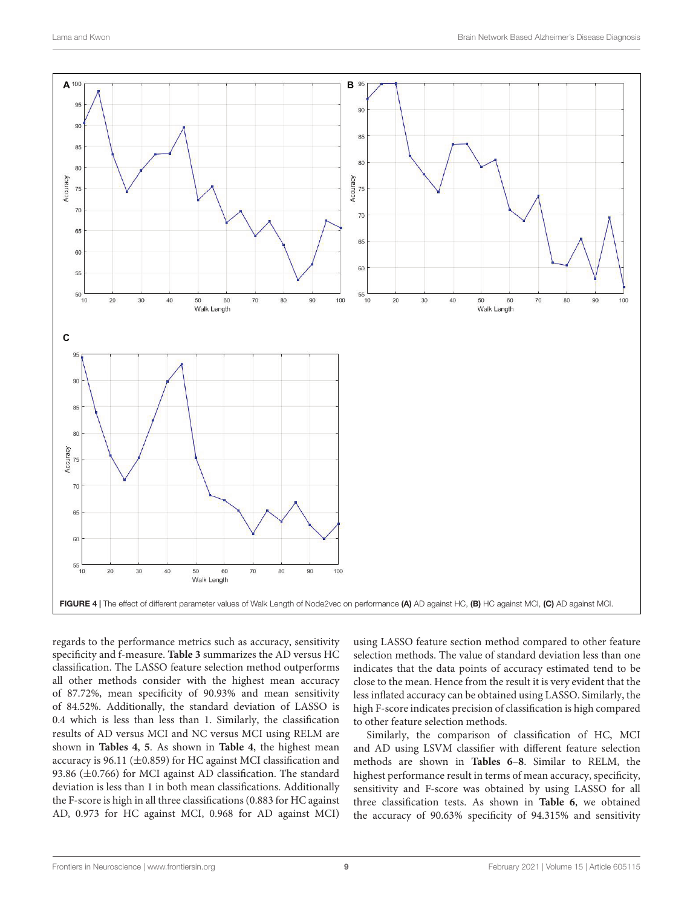

<span id="page-8-0"></span>regards to the performance metrics such as accuracy, sensitivity specificity and f-measure. **[Table 3](#page-6-1)** summarizes the AD versus HC classification. The LASSO feature selection method outperforms all other methods consider with the highest mean accuracy of 87.72%, mean specificity of 90.93% and mean sensitivity of 84.52%. Additionally, the standard deviation of LASSO is 0.4 which is less than less than 1. Similarly, the classification results of AD versus MCI and NC versus MCI using RELM are shown in **[Tables 4](#page-6-2)**, **[5](#page-7-1)**. As shown in **[Table 4](#page-6-2)**, the highest mean accuracy is 96.11 ( $\pm$ 0.859) for HC against MCI classification and 93.86 ( $\pm$ 0.766) for MCI against AD classification. The standard deviation is less than 1 in both mean classifications. Additionally the F-score is high in all three classifications (0.883 for HC against AD, 0.973 for HC against MCI, 0.968 for AD against MCI)

using LASSO feature section method compared to other feature selection methods. The value of standard deviation less than one indicates that the data points of accuracy estimated tend to be close to the mean. Hence from the result it is very evident that the less inflated accuracy can be obtained using LASSO. Similarly, the high F-score indicates precision of classification is high compared to other feature selection methods.

Similarly, the comparison of classification of HC, MCI and AD using LSVM classifier with different feature selection methods are shown in **[Tables 6](#page-7-2)**–**[8](#page-7-0)**. Similar to RELM, the highest performance result in terms of mean accuracy, specificity, sensitivity and F-score was obtained by using LASSO for all three classification tests. As shown in **[Table 6](#page-7-2)**, we obtained the accuracy of 90.63% specificity of 94.315% and sensitivity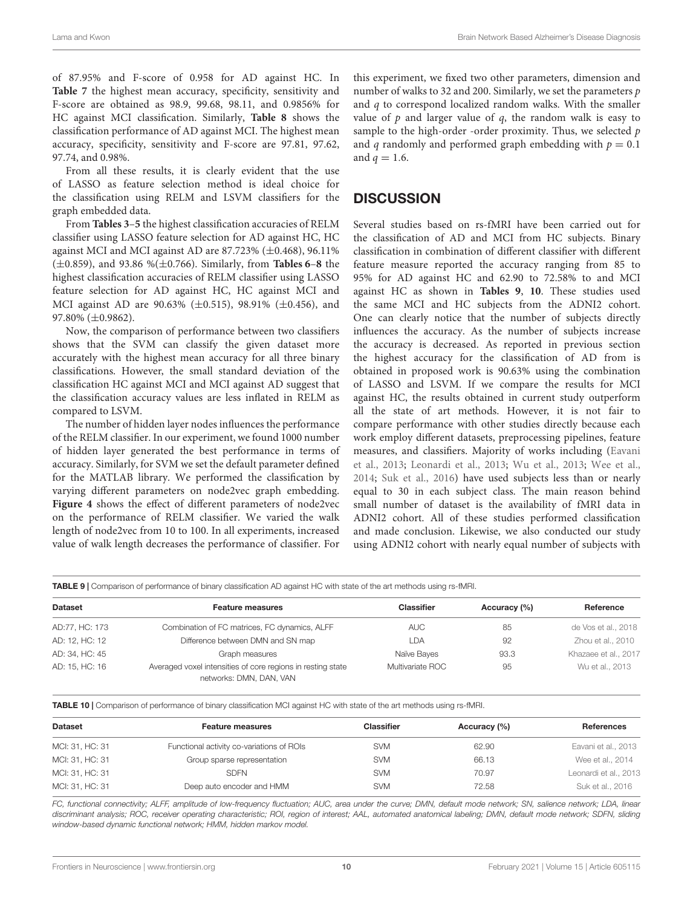of 87.95% and F-score of 0.958 for AD against HC. In **[Table 7](#page-7-3)** the highest mean accuracy, specificity, sensitivity and F-score are obtained as 98.9, 99.68, 98.11, and 0.9856% for HC against MCI classification. Similarly, **[Table 8](#page-7-0)** shows the classification performance of AD against MCI. The highest mean accuracy, specificity, sensitivity and F-score are 97.81, 97.62, 97.74, and 0.98%.

From all these results, it is clearly evident that the use of LASSO as feature selection method is ideal choice for the classification using RELM and LSVM classifiers for the graph embedded data.

From **[Tables 3](#page-6-1)**–**[5](#page-7-1)** the highest classification accuracies of RELM classifier using LASSO feature selection for AD against HC, HC against MCI and MCI against AD are  $87.723\%$  ( $\pm 0.468$ ),  $96.11\%$ (±0.859), and 93.86 %(±0.766). Similarly, from **[Tables 6](#page-7-2)**–**[8](#page-7-0)** the highest classification accuracies of RELM classifier using LASSO feature selection for AD against HC, HC against MCI and MCI against AD are 90.63% (±0.515), 98.91% (±0.456), and 97.80% (±0.9862).

Now, the comparison of performance between two classifiers shows that the SVM can classify the given dataset more accurately with the highest mean accuracy for all three binary classifications. However, the small standard deviation of the classification HC against MCI and MCI against AD suggest that the classification accuracy values are less inflated in RELM as compared to LSVM.

The number of hidden layer nodes influences the performance of the RELM classifier. In our experiment, we found 1000 number of hidden layer generated the best performance in terms of accuracy. Similarly, for SVM we set the default parameter defined for the MATLAB library. We performed the classification by varying different parameters on node2vec graph embedding. **[Figure 4](#page-8-0)** shows the effect of different parameters of node2vec on the performance of RELM classifier. We varied the walk length of node2vec from 10 to 100. In all experiments, increased value of walk length decreases the performance of classifier. For this experiment, we fixed two other parameters, dimension and number of walks to 32 and 200. Similarly, we set the parameters  $p$ and q to correspond localized random walks. With the smaller value of  $p$  and larger value of  $q$ , the random walk is easy to sample to the high-order -order proximity. Thus, we selected  $p$ and q randomly and performed graph embedding with  $p = 0.1$ and  $q = 1.6$ .

## **DISCUSSION**

Several studies based on rs-fMRI have been carried out for the classification of AD and MCI from HC subjects. Binary classification in combination of different classifier with different feature measure reported the accuracy ranging from 85 to 95% for AD against HC and 62.90 to 72.58% to and MCI against HC as shown in **[Tables 9](#page-9-0)**, **[10](#page-9-1)**. These studies used the same MCI and HC subjects from the ADNI2 cohort. One can clearly notice that the number of subjects directly influences the accuracy. As the number of subjects increase the accuracy is decreased. As reported in previous section the highest accuracy for the classification of AD from is obtained in proposed work is 90.63% using the combination of LASSO and LSVM. If we compare the results for MCI against HC, the results obtained in current study outperform all the state of art methods. However, it is not fair to compare performance with other studies directly because each work employ different datasets, preprocessing pipelines, feature measures, and classifiers. Majority of works including [\(Eavani](#page-11-36) [et al.,](#page-11-36) [2013;](#page-11-36) [Leonardi et al.,](#page-11-37) [2013;](#page-11-37) [Wu et al.,](#page-12-5) [2013;](#page-12-5) [Wee et al.,](#page-12-6) [2014;](#page-12-6) [Suk et al.,](#page-12-7) [2016\)](#page-12-7) have used subjects less than or nearly equal to 30 in each subject class. The main reason behind small number of dataset is the availability of fMRI data in ADNI2 cohort. All of these studies performed classification and made conclusion. Likewise, we also conducted our study using ADNI2 cohort with nearly equal number of subjects with

<span id="page-9-0"></span>TABLE 9 | Comparison of performance of binary classification AD against HC with state of the art methods using rs-fMRI.

| <b>Dataset</b> | <b>Feature measures</b>                                                                | <b>Classifier</b> | Accuracy (%) | Reference            |
|----------------|----------------------------------------------------------------------------------------|-------------------|--------------|----------------------|
| AD:77, HC: 173 | Combination of FC matrices, FC dynamics, ALFF                                          | AUC-              | 85           | de Vos et al., 2018  |
| AD: 12, HC: 12 | Difference between DMN and SN map                                                      | LDA               | 92           | Zhou et al., 2010    |
| AD: 34, HC: 45 | Graph measures                                                                         | Naïve Bayes       | 93.3         | Khazaee et al., 2017 |
| AD: 15, HC: 16 | Averaged voxel intensities of core regions in resting state<br>networks: DMN, DAN, VAN | Multivariate ROC  | 95           | Wu et al., 2013      |

<span id="page-9-1"></span>TABLE 10 | Comparison of performance of binary classification MCI against HC with state of the art methods using rs-fMRI.

| <b>Dataset</b>  | <b>Feature measures</b>                   | <b>Classifier</b> | Accuracy (%) | References            |
|-----------------|-------------------------------------------|-------------------|--------------|-----------------------|
| MCI: 31, HC: 31 | Functional activity co-variations of ROIs | <b>SVM</b>        | 62.90        | Eavani et al., 2013   |
| MCI: 31, HC: 31 | Group sparse representation               | <b>SVM</b>        | 66.13        | Wee et al., 2014      |
| MCI: 31, HC: 31 | <b>SDFN</b>                               | <b>SVM</b>        | 70.97        | Leonardi et al., 2013 |
| MCI: 31, HC: 31 | Deep auto encoder and HMM                 | <b>SVM</b>        | 72.58        | Suk et al., 2016      |

FC, functional connectivity; ALFF, amplitude of low-frequency fluctuation; AUC, area under the curve; DMN, default mode network; SN, salience network; LDA, linear discriminant analysis; ROC, receiver operating characteristic; ROI, region of interest; AAL, automated anatomical labeling; DMN, default mode network; SDFN, sliding window-based dynamic functional network; HMM, hidden markov model.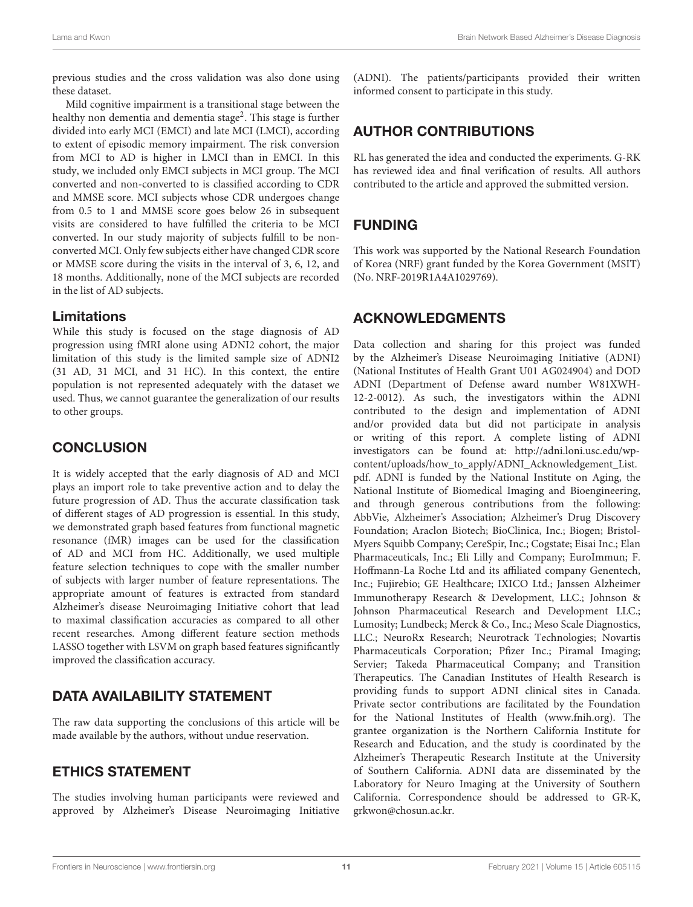previous studies and the cross validation was also done using these dataset.

Mild cognitive impairment is a transitional stage between the healthy non dementia and dementia stage<sup>2</sup>. This stage is further divided into early MCI (EMCI) and late MCI (LMCI), according to extent of episodic memory impairment. The risk conversion from MCI to AD is higher in LMCI than in EMCI. In this study, we included only EMCI subjects in MCI group. The MCI converted and non-converted to is classified according to CDR and MMSE score. MCI subjects whose CDR undergoes change from 0.5 to 1 and MMSE score goes below 26 in subsequent visits are considered to have fulfilled the criteria to be MCI converted. In our study majority of subjects fulfill to be nonconverted MCI. Only few subjects either have changed CDR score or MMSE score during the visits in the interval of 3, 6, 12, and 18 months. Additionally, none of the MCI subjects are recorded in the list of AD subjects.

#### Limitations

While this study is focused on the stage diagnosis of AD progression using fMRI alone using ADNI2 cohort, the major limitation of this study is the limited sample size of ADNI2 (31 AD, 31 MCI, and 31 HC). In this context, the entire population is not represented adequately with the dataset we used. Thus, we cannot guarantee the generalization of our results to other groups.

# **CONCLUSION**

It is widely accepted that the early diagnosis of AD and MCI plays an import role to take preventive action and to delay the future progression of AD. Thus the accurate classification task of different stages of AD progression is essential. In this study, we demonstrated graph based features from functional magnetic resonance (fMR) images can be used for the classification of AD and MCI from HC. Additionally, we used multiple feature selection techniques to cope with the smaller number of subjects with larger number of feature representations. The appropriate amount of features is extracted from standard Alzheimer's disease Neuroimaging Initiative cohort that lead to maximal classification accuracies as compared to all other recent researches. Among different feature section methods LASSO together with LSVM on graph based features significantly improved the classification accuracy.

# DATA AVAILABILITY STATEMENT

The raw data supporting the conclusions of this article will be made available by the authors, without undue reservation.

# ETHICS STATEMENT

The studies involving human participants were reviewed and approved by Alzheimer's Disease Neuroimaging Initiative (ADNI). The patients/participants provided their written informed consent to participate in this study.

# AUTHOR CONTRIBUTIONS

RL has generated the idea and conducted the experiments. G-RK has reviewed idea and final verification of results. All authors contributed to the article and approved the submitted version.

## FUNDING

This work was supported by the National Research Foundation of Korea (NRF) grant funded by the Korea Government (MSIT) (No. NRF-2019R1A4A1029769).

# ACKNOWLEDGMENTS

Data collection and sharing for this project was funded by the Alzheimer's Disease Neuroimaging Initiative (ADNI) (National Institutes of Health Grant U01 AG024904) and DOD ADNI (Department of Defense award number W81XWH-12-2-0012). As such, the investigators within the ADNI contributed to the design and implementation of ADNI and/or provided data but did not participate in analysis or writing of this report. A complete listing of ADNI investigators can be found at: [http://adni.loni.usc.edu/wp](http://adni.loni.usc.edu/wp-content/uploads/how_to_apply/ADNI_Acknowledgement_List.pdf)[content/uploads/how\\_to\\_apply/ADNI\\_Acknowledgement\\_List.](http://adni.loni.usc.edu/wp-content/uploads/how_to_apply/ADNI_Acknowledgement_List.pdf) [pdf.](http://adni.loni.usc.edu/wp-content/uploads/how_to_apply/ADNI_Acknowledgement_List.pdf) ADNI is funded by the National Institute on Aging, the National Institute of Biomedical Imaging and Bioengineering, and through generous contributions from the following: AbbVie, Alzheimer's Association; Alzheimer's Drug Discovery Foundation; Araclon Biotech; BioClinica, Inc.; Biogen; Bristol-Myers Squibb Company; CereSpir, Inc.; Cogstate; Eisai Inc.; Elan Pharmaceuticals, Inc.; Eli Lilly and Company; EuroImmun; F. Hoffmann-La Roche Ltd and its affiliated company Genentech, Inc.; Fujirebio; GE Healthcare; IXICO Ltd.; Janssen Alzheimer Immunotherapy Research & Development, LLC.; Johnson & Johnson Pharmaceutical Research and Development LLC.; Lumosity; Lundbeck; Merck & Co., Inc.; Meso Scale Diagnostics, LLC.; NeuroRx Research; Neurotrack Technologies; Novartis Pharmaceuticals Corporation; Pfizer Inc.; Piramal Imaging; Servier; Takeda Pharmaceutical Company; and Transition Therapeutics. The Canadian Institutes of Health Research is providing funds to support ADNI clinical sites in Canada. Private sector contributions are facilitated by the Foundation for the National Institutes of Health (www.fnih.org). The grantee organization is the Northern California Institute for Research and Education, and the study is coordinated by the Alzheimer's Therapeutic Research Institute at the University of Southern California. ADNI data are disseminated by the Laboratory for Neuro Imaging at the University of Southern California. Correspondence should be addressed to GR-K, grkwon@chosun.ac.kr.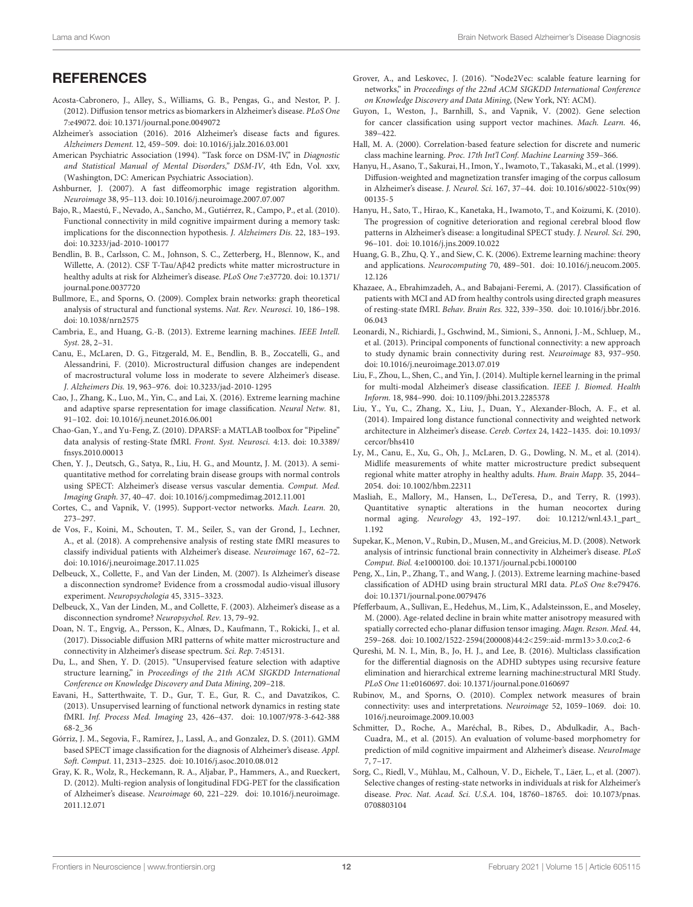## **REFERENCES**

- <span id="page-11-17"></span>Acosta-Cabronero, J., Alley, S., Williams, G. B., Pengas, G., and Nestor, P. J. (2012). Diffusion tensor metrics as biomarkers in Alzheimer's disease. PLoS One 7:e49072. [doi: 10.1371/journal.pone.0049072](https://doi.org/10.1371/journal.pone.0049072)
- <span id="page-11-3"></span>Alzheimer's association (2016). 2016 Alzheimer's disease facts and figures. Alzheimers Dement. 12, 459–509. [doi: 10.1016/j.jalz.2016.03.001](https://doi.org/10.1016/j.jalz.2016.03.001)
- <span id="page-11-0"></span>American Psychiatric Association (1994). "Task force on DSM-IV," in Diagnostic and Statistical Manual of Mental Disorders," DSM-IV, 4th Edn, Vol. xxv, (Washington, DC: American Psychiatric Association).
- <span id="page-11-25"></span>Ashburner, J. (2007). A fast diffeomorphic image registration algorithm. Neuroimage 38, 95–113. [doi: 10.1016/j.neuroimage.2007.07.007](https://doi.org/10.1016/j.neuroimage.2007.07.007)
- <span id="page-11-23"></span>Bajo, R., Maestú, F., Nevado, A., Sancho, M., Gutiérrez, R., Campo, P., et al. (2010). Functional connectivity in mild cognitive impairment during a memory task: implications for the disconnection hypothesis. J. Alzheimers Dis. 22, 183–193. [doi: 10.3233/jad-2010-100177](https://doi.org/10.3233/jad-2010-100177)
- <span id="page-11-13"></span>Bendlin, B. B., Carlsson, C. M., Johnson, S. C., Zetterberg, H., Blennow, K., and Willette, A. (2012). CSF T-Tau/Aβ42 predicts white matter microstructure in healthy adults at risk for Alzheimer's disease. PLoS One 7:e37720. [doi: 10.1371/](https://doi.org/10.1371/journal.pone.0037720) [journal.pone.0037720](https://doi.org/10.1371/journal.pone.0037720)
- <span id="page-11-21"></span>Bullmore, E., and Sporns, O. (2009). Complex brain networks: graph theoretical analysis of structural and functional systems. Nat. Rev. Neurosci. 10, 186–198. [doi: 10.1038/nrn2575](https://doi.org/10.1038/nrn2575)
- <span id="page-11-34"></span>Cambria, E., and Huang, G.-B. (2013). Extreme learning machines. IEEE Intell. Syst. 28, 2–31.
- <span id="page-11-12"></span>Canu, E., McLaren, D. G., Fitzgerald, M. E., Bendlin, B. B., Zoccatelli, G., and Alessandrini, F. (2010). Microstructural diffusion changes are independent of macrostructural volume loss in moderate to severe Alzheimer's disease. J. Alzheimers Dis. 19, 963–976. [doi: 10.3233/jad-2010-1295](https://doi.org/10.3233/jad-2010-1295)
- <span id="page-11-33"></span>Cao, J., Zhang, K., Luo, M., Yin, C., and Lai, X. (2016). Extreme learning machine and adaptive sparse representation for image classification. Neural Netw. 81, 91–102. [doi: 10.1016/j.neunet.2016.06.001](https://doi.org/10.1016/j.neunet.2016.06.001)
- <span id="page-11-24"></span>Chao-Gan, Y., and Yu-Feng, Z. (2010). DPARSF: a MATLAB toolbox for "Pipeline" data analysis of resting-State fMRI. Front. Syst. Neurosci. 4:13. [doi: 10.3389/](https://doi.org/10.3389/fnsys.2010.00013) [fnsys.2010.00013](https://doi.org/10.3389/fnsys.2010.00013)
- <span id="page-11-9"></span>Chen, Y. J., Deutsch, G., Satya, R., Liu, H. G., and Mountz, J. M. (2013). A semiquantitative method for correlating brain disease groups with normal controls using SPECT: Alzheimer's disease versus vascular dementia. Comput. Med. Imaging Graph. 37, 40–47. [doi: 10.1016/j.compmedimag.2012.11.001](https://doi.org/10.1016/j.compmedimag.2012.11.001)
- <span id="page-11-30"></span>Cortes, C., and Vapnik, V. (1995). Support-vector networks. Mach. Learn. 20, 273–297.
- <span id="page-11-38"></span>de Vos, F., Koini, M., Schouten, T. M., Seiler, S., van der Grond, J., Lechner, A., et al. (2018). A comprehensive analysis of resting state fMRI measures to classify individual patients with Alzheimer's disease. Neuroimage 167, 62–72. [doi: 10.1016/j.neuroimage.2017.11.025](https://doi.org/10.1016/j.neuroimage.2017.11.025)
- <span id="page-11-16"></span>Delbeuck, X., Collette, F., and Van der Linden, M. (2007). Is Alzheimer's disease a disconnection syndrome? Evidence from a crossmodal audio-visual illusory experiment. Neuropsychologia 45, 3315–3323.
- <span id="page-11-14"></span>Delbeuck, X., Van der Linden, M., and Collette, F. (2003). Alzheimer's disease as a disconnection syndrome? Neuropsychol. Rev. 13, 79–92.
- <span id="page-11-20"></span>Doan, N. T., Engvig, A., Persson, K., Alnæs, D., Kaufmann, T., Rokicki, J., et al. (2017). Dissociable diffusion MRI patterns of white matter microstructure and connectivity in Alzheimer's disease spectrum. Sci. Rep. 7:45131.
- <span id="page-11-28"></span>Du, L., and Shen, Y. D. (2015). "Unsupervised feature selection with adaptive structure learning," in Proceedings of the 21th ACM SIGKDD International Conference on Knowledge Discovery and Data Mining, 209–218.
- <span id="page-11-36"></span>Eavani, H., Satterthwaite, T. D., Gur, T. E., Gur, R. C., and Davatzikos, C. (2013). Unsupervised learning of functional network dynamics in resting state fMRI. Inf. Process Med. Imaging 23, 426–437. [doi: 10.1007/978-3-642-388](https://doi.org/10.1007/978-3-642-38868-2_36) [68-2\\_36](https://doi.org/10.1007/978-3-642-38868-2_36)
- <span id="page-11-5"></span>Górriz, J. M., Segovia, F., Ramírez, J., Lassl, A., and Gonzalez, D. S. (2011). GMM based SPECT image classification for the diagnosis of Alzheimer's disease. Appl. Soft. Comput. 11, 2313–2325. [doi: 10.1016/j.asoc.2010.08.012](https://doi.org/10.1016/j.asoc.2010.08.012)
- <span id="page-11-6"></span>Gray, K. R., Wolz, R., Heckemann, R. A., Aljabar, P., Hammers, A., and Rueckert, D. (2012). Multi-region analysis of longitudinal FDG-PET for the classification of Alzheimer's disease. Neuroimage 60, 221–229. [doi: 10.1016/j.neuroimage.](https://doi.org/10.1016/j.neuroimage.2011.12.071) [2011.12.071](https://doi.org/10.1016/j.neuroimage.2011.12.071)
- <span id="page-11-26"></span>Grover, A., and Leskovec, J. (2016). "Node2Vec: scalable feature learning for networks," in Proceedings of the 22nd ACM SIGKDD International Conference on Knowledge Discovery and Data Mining, (New York, NY: ACM).
- <span id="page-11-27"></span>Guyon, I., Weston, J., Barnhill, S., and Vapnik, V. (2002). Gene selection for cancer classification using support vector machines. Mach. Learn. 46, 389–422.
- <span id="page-11-29"></span>Hall, M. A. (2000). Correlation-based feature selection for discrete and numeric class machine learning. Proc. 17th Int'l Conf. Machine Learning 359–366.
- <span id="page-11-11"></span>Hanyu, H., Asano, T., Sakurai, H., Imon, Y., Iwamoto, T., Takasaki, M., et al. (1999). Diffusion-weighted and magnetization transfer imaging of the corpus callosum in Alzheimer's disease. J. Neurol. Sci. 167, 37–44. [doi: 10.1016/s0022-510x\(99\)](https://doi.org/10.1016/s0022-510x(99)00135-5) [00135-5](https://doi.org/10.1016/s0022-510x(99)00135-5)
- <span id="page-11-4"></span>Hanyu, H., Sato, T., Hirao, K., Kanetaka, H., Iwamoto, T., and Koizumi, K. (2010). The progression of cognitive deterioration and regional cerebral blood flow patterns in Alzheimer's disease: a longitudinal SPECT study. J. Neurol. Sci. 290, 96–101. [doi: 10.1016/j.jns.2009.10.022](https://doi.org/10.1016/j.jns.2009.10.022)
- <span id="page-11-31"></span>Huang, G. B., Zhu, Q. Y., and Siew, C. K. (2006). Extreme learning machine: theory and applications. Neurocomputing 70, 489–501. [doi: 10.1016/j.neucom.2005.](https://doi.org/10.1016/j.neucom.2005.12.126) [12.126](https://doi.org/10.1016/j.neucom.2005.12.126)
- <span id="page-11-39"></span>Khazaee, A., Ebrahimzadeh, A., and Babajani-Feremi, A. (2017). Classification of patients with MCI and AD from healthy controls using directed graph measures of resting-state fMRI. Behav. Brain Res. 322, 339–350. [doi: 10.1016/j.bbr.2016.](https://doi.org/10.1016/j.bbr.2016.06.043) [06.043](https://doi.org/10.1016/j.bbr.2016.06.043)
- <span id="page-11-37"></span>Leonardi, N., Richiardi, J., Gschwind, M., Simioni, S., Annoni, J.-M., Schluep, M., et al. (2013). Principal components of functional connectivity: a new approach to study dynamic brain connectivity during rest. Neuroimage 83, 937–950. [doi: 10.1016/j.neuroimage.2013.07.019](https://doi.org/10.1016/j.neuroimage.2013.07.019)
- <span id="page-11-1"></span>Liu, F., Zhou, L., Shen, C., and Yin, J. (2014). Multiple kernel learning in the primal for multi-modal Alzheimer's disease classification. IEEE J. Biomed. Health Inform. 18, 984–990. [doi: 10.1109/jbhi.2013.2285378](https://doi.org/10.1109/jbhi.2013.2285378)
- <span id="page-11-15"></span>Liu, Y., Yu, C., Zhang, X., Liu, J., Duan, Y., Alexander-Bloch, A. F., et al. (2014). Impaired long distance functional connectivity and weighted network architecture in Alzheimer's disease. Cereb. Cortex 24, 1422–1435. [doi: 10.1093/](https://doi.org/10.1093/cercor/bhs410) [cercor/bhs410](https://doi.org/10.1093/cercor/bhs410)
- <span id="page-11-10"></span>Ly, M., Canu, E., Xu, G., Oh, J., McLaren, D. G., Dowling, N. M., et al. (2014). Midlife measurements of white matter microstructure predict subsequent regional white matter atrophy in healthy adults. Hum. Brain Mapp. 35, 2044– 2054. [doi: 10.1002/hbm.22311](https://doi.org/10.1002/hbm.22311)
- <span id="page-11-8"></span>Masliah, E., Mallory, M., Hansen, L., DeTeresa, D., and Terry, R. (1993). Quantitative synaptic alterations in the human neocortex during normal aging. Neurology 43, 192–197. [doi: 10.1212/wnl.43.1\\_part\\_](https://doi.org/10.1212/wnl.43.1_part_1.192) [1.192](https://doi.org/10.1212/wnl.43.1_part_1.192)
- <span id="page-11-19"></span>Supekar, K., Menon, V., Rubin, D., Musen, M., and Greicius, M. D. (2008). Network analysis of intrinsic functional brain connectivity in Alzheimer's disease. PLoS Comput. Biol. 4:e1000100. [doi: 10.1371/journal.pcbi.1000100](https://doi.org/10.1371/journal.pcbi.1000100)
- <span id="page-11-32"></span>Peng, X., Lin, P., Zhang, T., and Wang, J. (2013). Extreme learning machine-based classification of ADHD using brain structural MRI data. PLoS One 8:e79476. [doi: 10.1371/journal.pone.0079476](https://doi.org/10.1371/journal.pone.0079476)
- <span id="page-11-7"></span>Pfefferbaum, A., Sullivan, E., Hedehus, M., Lim, K., Adalsteinsson, E., and Moseley, M. (2000). Age-related decline in brain white matter anisotropy measured with spatially corrected echo-planar diffusion tensor imaging. Magn. Reson. Med. 44, 259–268. [doi: 10.1002/1522-2594\(200008\)44:2<259::aid-mrm13>3.0.co;2-6](https://doi.org/10.1002/1522-2594(200008)44:2<259::aid-mrm13>3.0.co;2-6)
- <span id="page-11-35"></span>Qureshi, M. N. I., Min, B., Jo, H. J., and Lee, B. (2016). Multiclass classification for the differential diagnosis on the ADHD subtypes using recursive feature elimination and hierarchical extreme learning machine:structural MRI Study. PLoS One 11:e0160697. [doi: 10.1371/journal.pone.0160697](https://doi.org/10.1371/journal.pone.0160697)
- <span id="page-11-22"></span>Rubinov, M., and Sporns, O. (2010). Complex network measures of brain connectivity: uses and interpretations. Neuroimage 52, 1059–1069. [doi: 10.](https://doi.org/10.1016/j.neuroimage.2009.10.003) [1016/j.neuroimage.2009.10.003](https://doi.org/10.1016/j.neuroimage.2009.10.003)
- <span id="page-11-2"></span>Schmitter, D., Roche, A., Maréchal, B., Ribes, D., Abdulkadir, A., Bach-Cuadra, M., et al. (2015). An evaluation of volume-based morphometry for prediction of mild cognitive impairment and Alzheimer's disease. NeuroImage 7, 7–17.
- <span id="page-11-18"></span>Sorg, C., Riedl, V., Mühlau, M., Calhoun, V. D., Eichele, T., Läer, L., et al. (2007). Selective changes of resting-state networks in individuals at risk for Alzheimer's disease. Proc. Nat. Acad. Sci. U.S.A. 104, 18760–18765. [doi: 10.1073/pnas.](https://doi.org/10.1073/pnas.0708803104) [0708803104](https://doi.org/10.1073/pnas.0708803104)